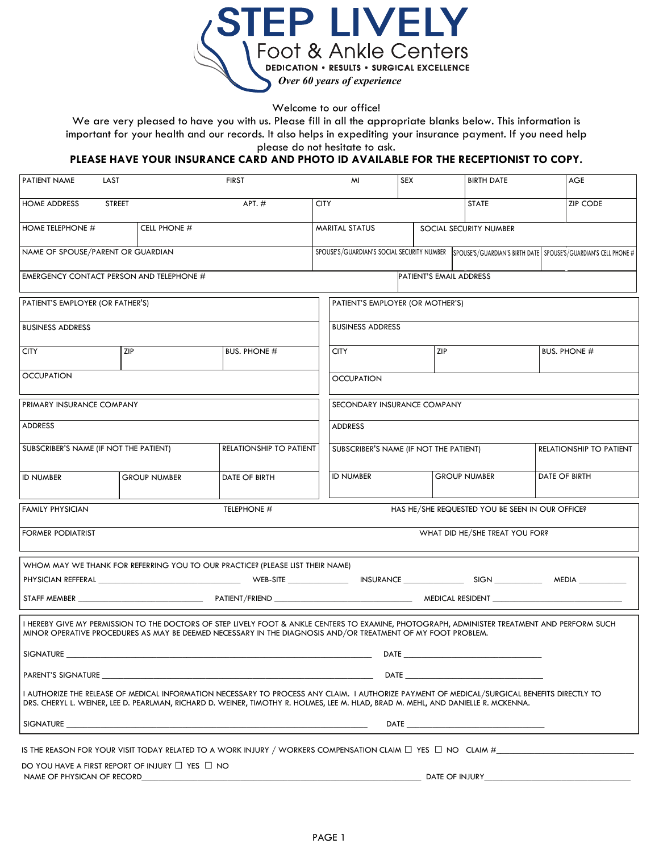

Welcome to our office!

We are very pleased to have you with us. Please fill in all the appropriate blanks below. This information is important for your health and our records. It also helps in expediting your insurance payment. If you need help please do not hesitate to ask.

## **PLEASE HAVE YOUR INSURANCE CARD AND PHOTO ID AVAILABLE FOR THE RECEPTIONIST TO COPY.**

| PATIENT NAME                                                                            | LAST          |                     | <b>FIRST</b>                                                                                                                                                                                                                                                                     |                                        | MI                                                                                                            | <b>SEX</b>             |                     | <b>BIRTH DATE</b>                               |                     | AGE             |  |
|-----------------------------------------------------------------------------------------|---------------|---------------------|----------------------------------------------------------------------------------------------------------------------------------------------------------------------------------------------------------------------------------------------------------------------------------|----------------------------------------|---------------------------------------------------------------------------------------------------------------|------------------------|---------------------|-------------------------------------------------|---------------------|-----------------|--|
| <b>HOME ADDRESS</b>                                                                     | <b>STREET</b> |                     | $APT.$ #                                                                                                                                                                                                                                                                         | <b>CITY</b>                            |                                                                                                               |                        |                     | <b>STATE</b>                                    |                     | <b>ZIP CODE</b> |  |
| HOME TELEPHONE #                                                                        |               | CELL PHONE #        |                                                                                                                                                                                                                                                                                  |                                        | <b>MARITAL STATUS</b>                                                                                         | SOCIAL SECURITY NUMBER |                     |                                                 |                     |                 |  |
| NAME OF SPOUSE/PARENT OR GUARDIAN                                                       |               |                     |                                                                                                                                                                                                                                                                                  |                                        | SPOUSE'S/GUARDIAN'S SOCIAL SECURITY NUMBER<br>SPOUSE'S/GUARDIAN'S BIRTH DATE SPOUSE'S/GUARDIAN'S CELL PHONE # |                        |                     |                                                 |                     |                 |  |
| EMERGENCY CONTACT PERSON AND TELEPHONE #                                                |               |                     |                                                                                                                                                                                                                                                                                  |                                        | PATIENT'S EMAIL ADDRESS                                                                                       |                        |                     |                                                 |                     |                 |  |
| PATIENT'S EMPLOYER (OR FATHER'S)                                                        |               |                     |                                                                                                                                                                                                                                                                                  |                                        | PATIENT'S EMPLOYER (OR MOTHER'S)                                                                              |                        |                     |                                                 |                     |                 |  |
| <b>BUSINESS ADDRESS</b>                                                                 |               |                     |                                                                                                                                                                                                                                                                                  |                                        | <b>BUSINESS ADDRESS</b>                                                                                       |                        |                     |                                                 |                     |                 |  |
| <b>CITY</b>                                                                             | ZIP           |                     | <b>BUS. PHONE #</b>                                                                                                                                                                                                                                                              |                                        | ZIP<br><b>CITY</b>                                                                                            |                        |                     |                                                 | <b>BUS. PHONE #</b> |                 |  |
| <b>OCCUPATION</b>                                                                       |               |                     |                                                                                                                                                                                                                                                                                  |                                        | <b>OCCUPATION</b>                                                                                             |                        |                     |                                                 |                     |                 |  |
| PRIMARY INSURANCE COMPANY                                                               |               |                     |                                                                                                                                                                                                                                                                                  |                                        | SECONDARY INSURANCE COMPANY                                                                                   |                        |                     |                                                 |                     |                 |  |
| <b>ADDRESS</b>                                                                          |               |                     |                                                                                                                                                                                                                                                                                  |                                        | <b>ADDRESS</b>                                                                                                |                        |                     |                                                 |                     |                 |  |
| SUBSCRIBER'S NAME (IF NOT THE PATIENT)<br>RELATIONSHIP TO PATIENT                       |               |                     |                                                                                                                                                                                                                                                                                  | SUBSCRIBER'S NAME (IF NOT THE PATIENT) |                                                                                                               |                        |                     | RELATIONSHIP TO PATIENT                         |                     |                 |  |
| <b>ID NUMBER</b>                                                                        |               | <b>GROUP NUMBER</b> | DATE OF BIRTH                                                                                                                                                                                                                                                                    |                                        | <b>ID NUMBER</b>                                                                                              |                        | <b>GROUP NUMBER</b> |                                                 | DATE OF BIRTH       |                 |  |
| <b>FAMILY PHYSICIAN</b>                                                                 |               |                     | TELEPHONE #                                                                                                                                                                                                                                                                      |                                        |                                                                                                               |                        |                     | HAS HE/SHE REQUESTED YOU BE SEEN IN OUR OFFICE? |                     |                 |  |
| <b>FORMER PODIATRIST</b>                                                                |               |                     |                                                                                                                                                                                                                                                                                  |                                        | WHAT DID HE/SHE TREAT YOU FOR?                                                                                |                        |                     |                                                 |                     |                 |  |
|                                                                                         |               |                     | WHOM MAY WE THANK FOR REFERRING YOU TO OUR PRACTICE? (PLEASE LIST THEIR NAME)                                                                                                                                                                                                    |                                        |                                                                                                               |                        |                     |                                                 |                     |                 |  |
|                                                                                         |               |                     |                                                                                                                                                                                                                                                                                  |                                        |                                                                                                               |                        |                     |                                                 |                     |                 |  |
|                                                                                         |               |                     |                                                                                                                                                                                                                                                                                  |                                        |                                                                                                               |                        |                     |                                                 |                     |                 |  |
|                                                                                         |               |                     | I HEREBY GIVE MY PERMISSION TO THE DOCTORS OF STEP LIVELY FOOT & ANKLE CENTERS TO EXAMINE, PHOTOGRAPH, ADMINISTER TREATMENT AND PERFORM SUCH<br>MINOR OPERATIVE PROCEDURES AS MAY BE DEEMED NECESSARY IN THE DIAGNOSIS AND/OR TREATMENT OF MY FOOT PROBLEM.                      |                                        |                                                                                                               |                        |                     |                                                 |                     |                 |  |
| SIGNATURE                                                                               |               |                     |                                                                                                                                                                                                                                                                                  |                                        | DATE                                                                                                          |                        |                     |                                                 |                     |                 |  |
|                                                                                         |               |                     |                                                                                                                                                                                                                                                                                  |                                        |                                                                                                               |                        |                     |                                                 |                     |                 |  |
|                                                                                         |               |                     | I AUTHORIZE THE RELEASE OF MEDICAL INFORMATION NECESSARY TO PROCESS ANY CLAIM. I AUTHORIZE PAYMENT OF MEDICAL/SURGICAL BENEFITS DIRECTLY TO<br>DRS. CHERYL L. WEINER, LEE D. PEARLMAN, RICHARD D. WEINER, TIMOTHY R. HOLMES, LEE M. HLAD, BRAD M. MEHL, AND DANIELLE R. MCKENNA. |                                        |                                                                                                               |                        |                     |                                                 |                     |                 |  |
|                                                                                         |               |                     | SIGNATURE <b>SECONDITION SIGNATURE</b>                                                                                                                                                                                                                                           |                                        |                                                                                                               |                        |                     |                                                 |                     |                 |  |
|                                                                                         |               |                     | IS THE REASON FOR YOUR VISIT TODAY RELATED TO A WORK INJURY / WORKERS COMPENSATION CLAIM $\Box$ YES $\Box$ NO $\,$ CLAIM $\#$                                                                                                                                                    |                                        |                                                                                                               |                        |                     |                                                 |                     |                 |  |
| DO YOU HAVE A FIRST REPORT OF INJURY $\Box$ YES $\Box$ NO<br>NAME OF PHYSICAN OF RECORD |               |                     |                                                                                                                                                                                                                                                                                  |                                        |                                                                                                               |                        |                     | DATE OF INJURY__________                        |                     |                 |  |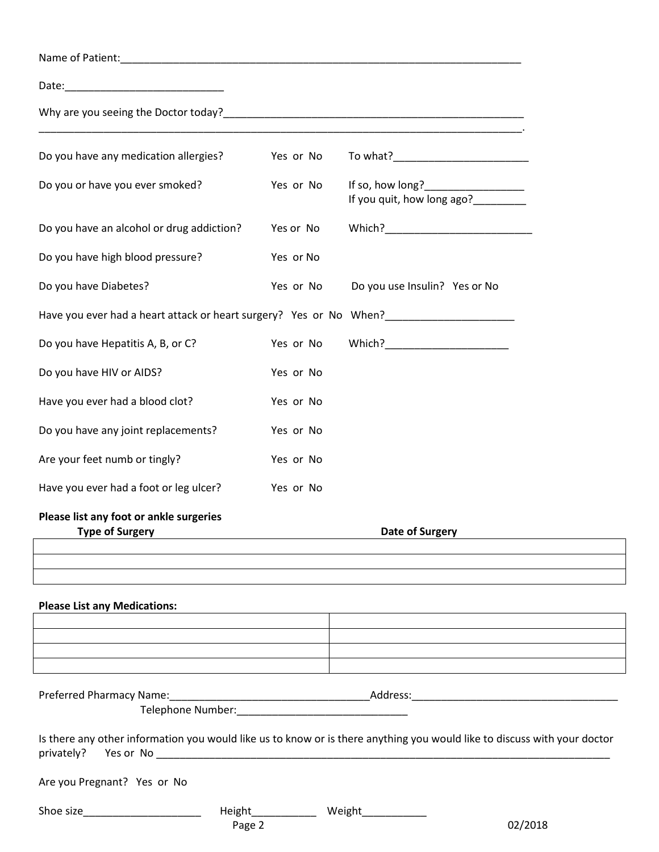| Do you have any medication allergies?                                                                                                  | Yes or No |                                                                                         |  |
|----------------------------------------------------------------------------------------------------------------------------------------|-----------|-----------------------------------------------------------------------------------------|--|
| Do you or have you ever smoked?                                                                                                        | Yes or No | If so, how long?_________________<br>If you quit, how long ago?<br><u>Lettin manual</u> |  |
| Do you have an alcohol or drug addiction?                                                                                              | Yes or No |                                                                                         |  |
| Do you have high blood pressure?                                                                                                       | Yes or No |                                                                                         |  |
| Do you have Diabetes?                                                                                                                  | Yes or No | Do you use Insulin? Yes or No                                                           |  |
| Have you ever had a heart attack or heart surgery? Yes or No When?__________________________________                                   |           |                                                                                         |  |
| Do you have Hepatitis A, B, or C?                                                                                                      | Yes or No | Which?_________________________                                                         |  |
| Do you have HIV or AIDS?                                                                                                               | Yes or No |                                                                                         |  |
| Have you ever had a blood clot?                                                                                                        | Yes or No |                                                                                         |  |
| Do you have any joint replacements?                                                                                                    | Yes or No |                                                                                         |  |
| Are your feet numb or tingly?                                                                                                          | Yes or No |                                                                                         |  |
| Have you ever had a foot or leg ulcer?                                                                                                 | Yes or No |                                                                                         |  |
| Please list any foot or ankle surgeries<br><b>Type of Surgery</b>                                                                      |           | Date of Surgery                                                                         |  |
|                                                                                                                                        |           |                                                                                         |  |
|                                                                                                                                        |           |                                                                                         |  |
| <b>Please List any Medications:</b>                                                                                                    |           |                                                                                         |  |
|                                                                                                                                        |           |                                                                                         |  |
|                                                                                                                                        |           |                                                                                         |  |
| Preferred Pharmacy Name: 1980 Mannel 2008 Manual Mannel 2008 Manual Manual Manual Manual Manual Manua Manua Ma                         |           |                                                                                         |  |
| Is there any other information you would like us to know or is there anything you would like to discuss with your doctor<br>privately? |           |                                                                                         |  |
| Are you Pregnant? Yes or No                                                                                                            |           |                                                                                         |  |
| Shoe size                                                                                                                              |           | Weight_                                                                                 |  |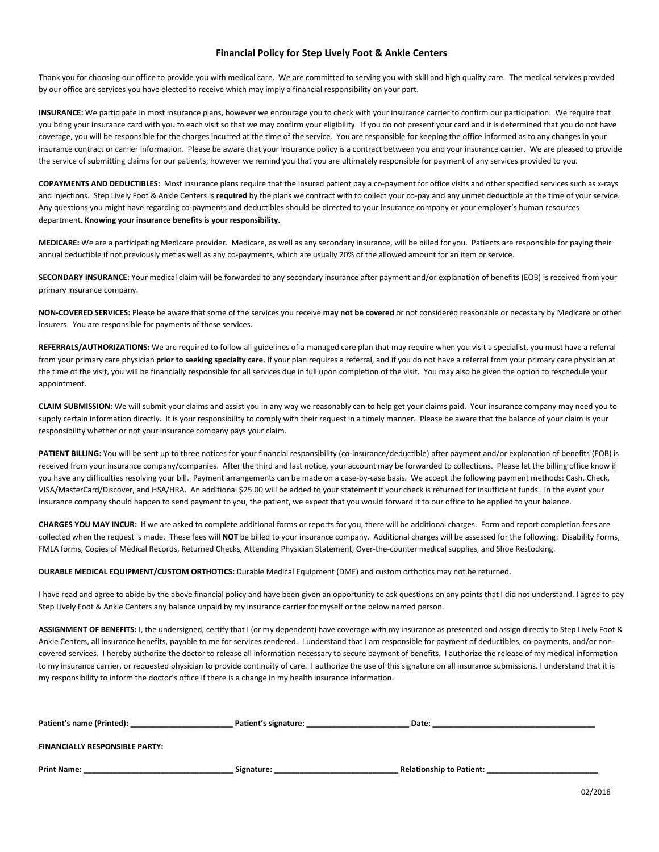## **Financial Policy for Step Lively Foot & Ankle Centers**

Thank you for choosing our office to provide you with medical care. We are committed to serving you with skill and high quality care. The medical services provided by our office are services you have elected to receive which may imply a financial responsibility on your part.

**INSURANCE:** We participate in most insurance plans, however we encourage you to check with your insurance carrier to confirm our participation. We require that you bring your insurance card with you to each visit so that we may confirm your eligibility. If you do not present your card and it is determined that you do not have coverage, you will be responsible for the charges incurred at the time of the service. You are responsible for keeping the office informed as to any changes in your insurance contract or carrier information. Please be aware that your insurance policy is a contract between you and your insurance carrier. We are pleased to provide the service of submitting claims for our patients; however we remind you that you are ultimately responsible for payment of any services provided to you.

**COPAYMENTS AND DEDUCTIBLES:** Most insurance plans require that the insured patient pay a co-payment for office visits and other specified services such as x-rays and injections. Step Lively Foot & Ankle Centers is **required** by the plans we contract with to collect your co-pay and any unmet deductible at the time of your service. Any questions you might have regarding co-payments and deductibles should be directed to your insurance company or your employer's human resources department. **Knowing your insurance benefits is your responsibility**.

**MEDICARE:** We are a participating Medicare provider. Medicare, as well as any secondary insurance, will be billed for you. Patients are responsible for paying their annual deductible if not previously met as well as any co-payments, which are usually 20% of the allowed amount for an item or service.

**SECONDARY INSURANCE:** Your medical claim will be forwarded to any secondary insurance after payment and/or explanation of benefits (EOB) is received from your primary insurance company.

**NON-COVERED SERVICES:** Please be aware that some of the services you receive **may not be covered** or not considered reasonable or necessary by Medicare or other insurers. You are responsible for payments of these services.

**REFERRALS/AUTHORIZATIONS:** We are required to follow all guidelines of a managed care plan that may require when you visit a specialist, you must have a referral from your primary care physician **prior to seeking specialty care**. If your plan requires a referral, and if you do not have a referral from your primary care physician at the time of the visit, you will be financially responsible for all services due in full upon completion of the visit. You may also be given the option to reschedule your appointment.

**CLAIM SUBMISSION:** We will submit your claims and assist you in any way we reasonably can to help get your claims paid. Your insurance company may need you to supply certain information directly. It is your responsibility to comply with their request in a timely manner. Please be aware that the balance of your claim is your responsibility whether or not your insurance company pays your claim.

PATIENT BILLING: You will be sent up to three notices for your financial responsibility (co-insurance/deductible) after payment and/or explanation of benefits (EOB) is received from your insurance company/companies. After the third and last notice, your account may be forwarded to collections. Please let the billing office know if you have any difficulties resolving your bill. Payment arrangements can be made on a case-by-case basis. We accept the following payment methods: Cash, Check, VISA/MasterCard/Discover, and HSA/HRA. An additional \$25.00 will be added to your statement if your check is returned for insufficient funds. In the event your insurance company should happen to send payment to you, the patient, we expect that you would forward it to our office to be applied to your balance.

**CHARGES YOU MAY INCUR:** If we are asked to complete additional forms or reports for you, there will be additional charges. Form and report completion fees are collected when the request is made. These fees will **NOT** be billed to your insurance company. Additional charges will be assessed for the following: Disability Forms, FMLA forms, Copies of Medical Records, Returned Checks, Attending Physician Statement, Over-the-counter medical supplies, and Shoe Restocking.

**DURABLE MEDICAL EQUIPMENT/CUSTOM ORTHOTICS:** Durable Medical Equipment (DME) and custom orthotics may not be returned.

I have read and agree to abide by the above financial policy and have been given an opportunity to ask questions on any points that I did not understand. I agree to pay Step Lively Foot & Ankle Centers any balance unpaid by my insurance carrier for myself or the below named person.

**ASSIGNMENT OF BENEFITS:** I, the undersigned, certify that I (or my dependent) have coverage with my insurance as presented and assign directly to Step Lively Foot & Ankle Centers, all insurance benefits, payable to me for services rendered. I understand that I am responsible for payment of deductibles, co-payments, and/or noncovered services. I hereby authorize the doctor to release all information necessary to secure payment of benefits. I authorize the release of my medical information to my insurance carrier, or requested physician to provide continuity of care. I authorize the use of this signature on all insurance submissions. I understand that it is my responsibility to inform the doctor's office if there is a change in my health insurance information.

| Patient's name (Printed):             | Patient's signature: | Date:                           |
|---------------------------------------|----------------------|---------------------------------|
| <b>FINANCIALLY RESPONSIBLE PARTY:</b> |                      |                                 |
| <b>Print Name:</b>                    | Signature:           | <b>Relationship to Patient:</b> |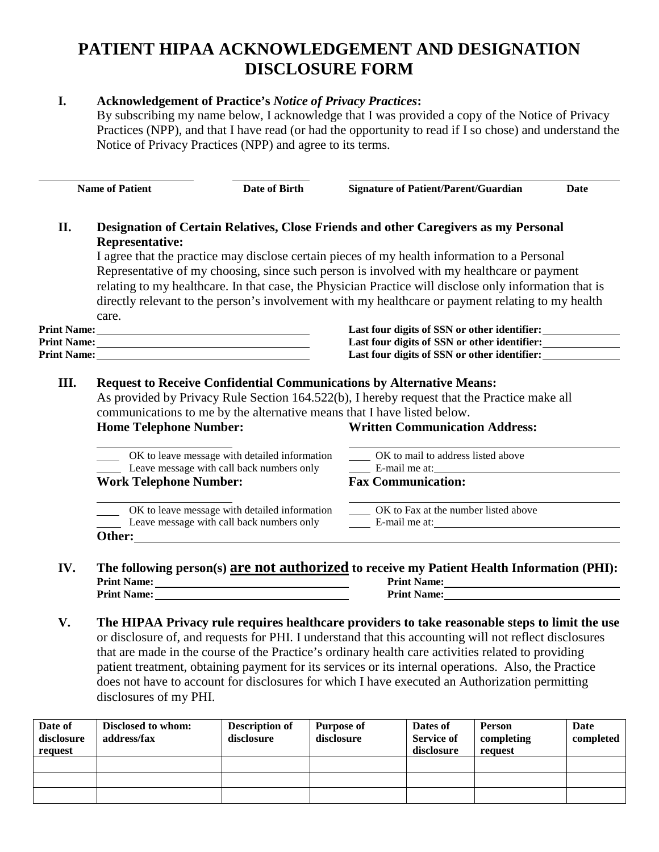## **PATIENT HIPAA ACKNOWLEDGEMENT AND DESIGNATION DISCLOSURE FORM**

## **I. Acknowledgement of Practice's** *Notice of Privacy Practices***:**

By subscribing my name below, I acknowledge that I was provided a copy of the Notice of Privacy Practices (NPP), and that I have read (or had the opportunity to read if I so chose) and understand the Notice of Privacy Practices (NPP) and agree to its terms.

|     | <b>Name of Patient</b>                                                                                                                                                                                                         | Date of Birth                                                           | <b>Signature of Patient/Parent/Guardian</b>                                                                                                                                                                                                                                                                                                                                                                                                                                                      | Date |  |  |  |
|-----|--------------------------------------------------------------------------------------------------------------------------------------------------------------------------------------------------------------------------------|-------------------------------------------------------------------------|--------------------------------------------------------------------------------------------------------------------------------------------------------------------------------------------------------------------------------------------------------------------------------------------------------------------------------------------------------------------------------------------------------------------------------------------------------------------------------------------------|------|--|--|--|
| II. | <b>Representative:</b><br>care.                                                                                                                                                                                                |                                                                         | Designation of Certain Relatives, Close Friends and other Caregivers as my Personal<br>I agree that the practice may disclose certain pieces of my health information to a Personal<br>Representative of my choosing, since such person is involved with my healthcare or payment<br>relating to my healthcare. In that case, the Physician Practice will disclose only information that is<br>directly relevant to the person's involvement with my healthcare or payment relating to my health |      |  |  |  |
|     | Print Name: 1988 and 1988 and 1988 and 1988 and 1988 and 1988 and 1988 and 1988 and 1988 and 1988 and 1988 and 1988 and 1988 and 1988 and 1988 and 1988 and 1988 and 1988 and 1988 and 1988 and 1988 and 1988 and 1988 and 198 |                                                                         | Last four digits of SSN or other identifier:                                                                                                                                                                                                                                                                                                                                                                                                                                                     |      |  |  |  |
|     |                                                                                                                                                                                                                                |                                                                         | Last four digits of SSN or other identifier:                                                                                                                                                                                                                                                                                                                                                                                                                                                     |      |  |  |  |
|     | Last four digits of SSN or other identifier:                                                                                                                                                                                   |                                                                         |                                                                                                                                                                                                                                                                                                                                                                                                                                                                                                  |      |  |  |  |
|     |                                                                                                                                                                                                                                |                                                                         | As provided by Privacy Rule Section 164.522(b), I hereby request that the Practice make all                                                                                                                                                                                                                                                                                                                                                                                                      |      |  |  |  |
|     | <b>Home Telephone Number:</b>                                                                                                                                                                                                  | communications to me by the alternative means that I have listed below. | <b>Written Communication Address:</b>                                                                                                                                                                                                                                                                                                                                                                                                                                                            |      |  |  |  |
|     |                                                                                                                                                                                                                                | OK to leave message with detailed information                           | OK to mail to address listed above                                                                                                                                                                                                                                                                                                                                                                                                                                                               |      |  |  |  |
|     | <b>Work Telephone Number:</b>                                                                                                                                                                                                  | Leave message with call back numbers only                               | E-mail me at:<br><b>Fax Communication:</b>                                                                                                                                                                                                                                                                                                                                                                                                                                                       |      |  |  |  |
|     |                                                                                                                                                                                                                                |                                                                         | OK to leave message with detailed information ________ OK to Fax at the number listed above                                                                                                                                                                                                                                                                                                                                                                                                      |      |  |  |  |

**V. The HIPAA Privacy rule requires healthcare providers to take reasonable steps to limit the use** or disclosure of, and requests for PHI. I understand that this accounting will not reflect disclosures that are made in the course of the Practice's ordinary health care activities related to providing patient treatment, obtaining payment for its services or its internal operations. Also, the Practice does not have to account for disclosures for which I have executed an Authorization permitting disclosures of my PHI.

| Date of<br>disclosure<br>request | Disclosed to whom:<br>address/fax | <b>Description of</b><br>disclosure | Purpose of<br>disclosure | Dates of<br><b>Service of</b><br>disclosure | <b>Person</b><br>completing<br>request | Date<br>completed |
|----------------------------------|-----------------------------------|-------------------------------------|--------------------------|---------------------------------------------|----------------------------------------|-------------------|
|                                  |                                   |                                     |                          |                                             |                                        |                   |
|                                  |                                   |                                     |                          |                                             |                                        |                   |
|                                  |                                   |                                     |                          |                                             |                                        |                   |